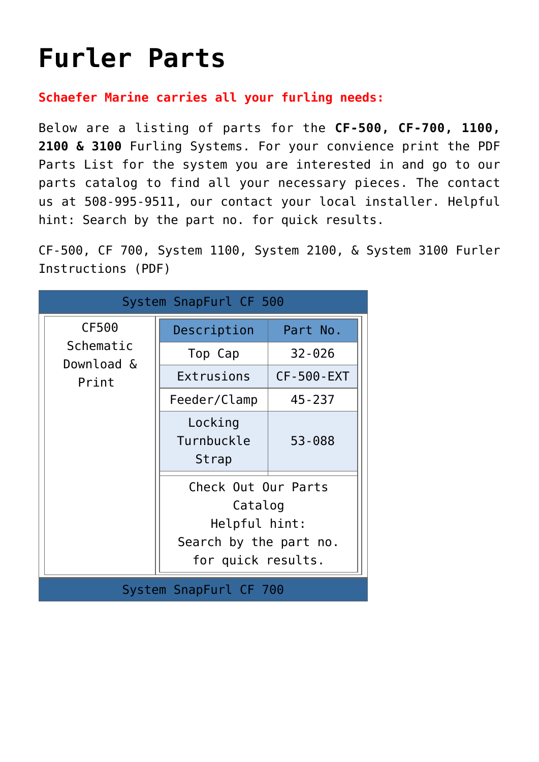## **[Furler Parts](https://www.schaefermarine.com/our-products/jib-furlers/furler-parts/)**

**Schaefer Marine carries all your furling needs:**

Below are a listing of parts for the **CF-500, CF-700, 1100, 2100 & 3100** Furling Systems. For your convience print the PDF Parts List for the system you are interested in and go to our parts catalog to find all your necessary pieces. The contact us at 508-995-9511, our contact your local installer. Helpful hint: Search by the part no. for quick results.

CF-500, CF 700, System 1100, System 2100, & System 3100 Furler Instructions (PDF)

| System SnapFurl CF 500           |                                                                                                 |            |  |  |
|----------------------------------|-------------------------------------------------------------------------------------------------|------------|--|--|
| CF500                            | Description                                                                                     | Part No.   |  |  |
| Schematic<br>Download &<br>Print | Top Cap                                                                                         | $32 - 026$ |  |  |
|                                  | Extrusions                                                                                      | CF-500-EXT |  |  |
|                                  | Feeder/Clamp                                                                                    | $45 - 237$ |  |  |
|                                  | Locking<br>Turnbuckle<br>Strap                                                                  | 53-088     |  |  |
|                                  | Check Out Our Parts<br>Catalog<br>Helpful hint:<br>Search by the part no.<br>for quick results. |            |  |  |
| System SnapFurl CF 700           |                                                                                                 |            |  |  |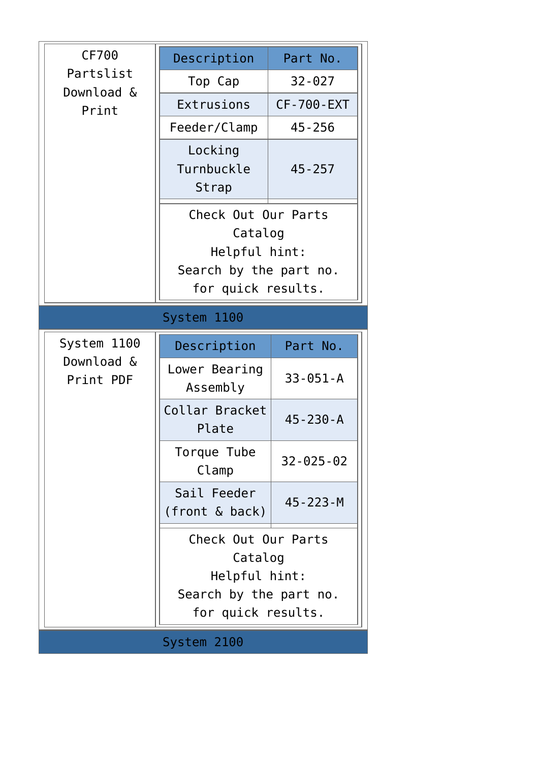| CF700<br>Partslist<br>Download &<br>Print | Description                                                                                     | Part No.          |  |  |
|-------------------------------------------|-------------------------------------------------------------------------------------------------|-------------------|--|--|
|                                           | Top Cap                                                                                         | $32 - 027$        |  |  |
|                                           | Extrusions                                                                                      | <b>CF-700-EXT</b> |  |  |
|                                           | Feeder/Clamp                                                                                    | $45 - 256$        |  |  |
|                                           | Locking<br>Turnbuckle<br>Strap                                                                  | $45 - 257$        |  |  |
|                                           | Check Out Our Parts<br>Catalog<br>Helpful hint:<br>Search by the part no.<br>for quick results. |                   |  |  |
| System 1100                               |                                                                                                 |                   |  |  |
| System 1100<br>Download &<br>Print PDF    | Description                                                                                     | Part No.          |  |  |
|                                           | Lower Bearing<br>Assembly                                                                       | $33 - 051 - A$    |  |  |
|                                           | Collar Bracket<br>Plate                                                                         | $45 - 230 - A$    |  |  |
|                                           | Torque Tube<br>Clamp                                                                            | $32 - 025 - 02$   |  |  |
|                                           | Sail Feeder<br>(front & back)                                                                   | 45 - 223 - M      |  |  |
|                                           | Check Out Our Parts<br>Catalog<br>Helpful hint:<br>Search by the part no.<br>for quick results. |                   |  |  |
|                                           |                                                                                                 |                   |  |  |